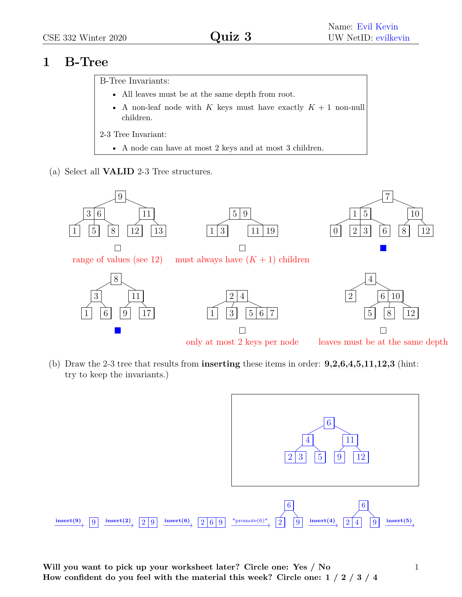## **1 B-Tree**

B-Tree Invariants:

- All leaves must be at the same depth from root.
- A non-leaf node with  $K$  keys must have exactly  $K + 1$  non-null children.
- 2-3 Tree Invariant:
	- A node can have at most 2 keys and at most 3 children.
- (a) Select all **VALID** 2-3 Tree structures.



(b) Draw the 2-3 tree that results from **inserting** these items in order: **9,2,6,4,5,11,12,3** (hint: try to keep the invariants.)



**Will you want to pick up your worksheet later? Circle one: Yes / No How confident do you feel with the material this week? Circle one: 1 / 2 / 3 / 4** 1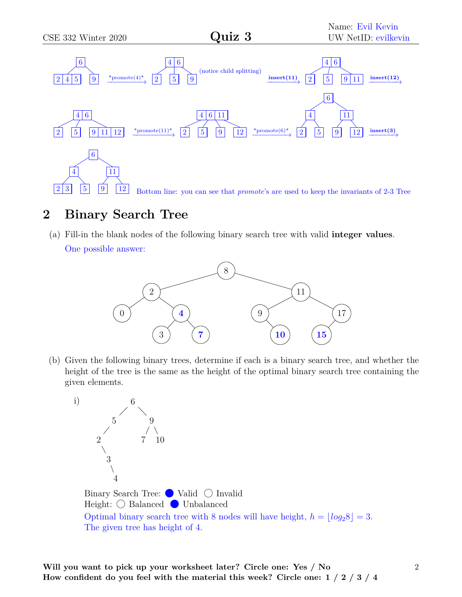

## **2 Binary Search Tree**

(a) Fill-in the blank nodes of the following binary search tree with valid **integer values**. One possible answer:



(b) Given the following binary trees, determine if each is a binary search tree, and whether the height of the tree is the same as the height of the optimal binary search tree containing the given elements.